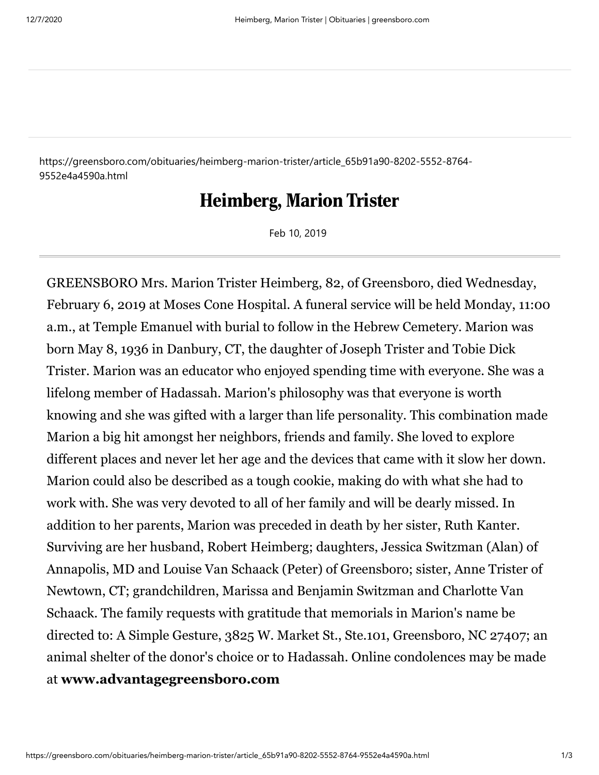https://greensboro.com/obituaries/heimberg-marion-trister/article\_65b91a90-8202-5552-8764- 9552e4a4590a.html

## Heimberg, Marion Trister

Feb 10, 2019

GREENSBORO Mrs. Marion Trister Heimberg, 82, of Greensboro, died Wednesday, February 6, 2019 at Moses Cone Hospital. A funeral service will be held Monday, 11:00 a.m., at Temple Emanuel with burial to follow in the Hebrew Cemetery. Marion was born May 8, 1936 in Danbury, CT, the daughter of Joseph Trister and Tobie Dick Trister. Marion was an educator who enjoyed spending time with everyone. She was a lifelong member of Hadassah. Marion's philosophy was that everyone is worth knowing and she was gifted with a larger than life personality. This combination made Marion a big hit amongst her neighbors, friends and family. She loved to explore different places and never let her age and the devices that came with it slow her down. Marion could also be described as a tough cookie, making do with what she had to work with. She was very devoted to all of her family and will be dearly missed. In addition to her parents, Marion was preceded in death by her sister, Ruth Kanter. Surviving are her husband, Robert Heimberg; daughters, Jessica Switzman (Alan) of Annapolis, MD and Louise Van Schaack (Peter) of Greensboro; sister, Anne Trister of Newtown, CT; grandchildren, Marissa and Benjamin Switzman and Charlotte Van Schaack. The family requests with gratitude that memorials in Marion's name be directed to: A Simple Gesture, 3825 W. Market St., Ste.101, Greensboro, NC 27407; an animal shelter of the donor's choice or to Hadassah. Online condolences may be made at **[www.advantagegreensboro.com](http://www.advantagegreensboro.com/)**